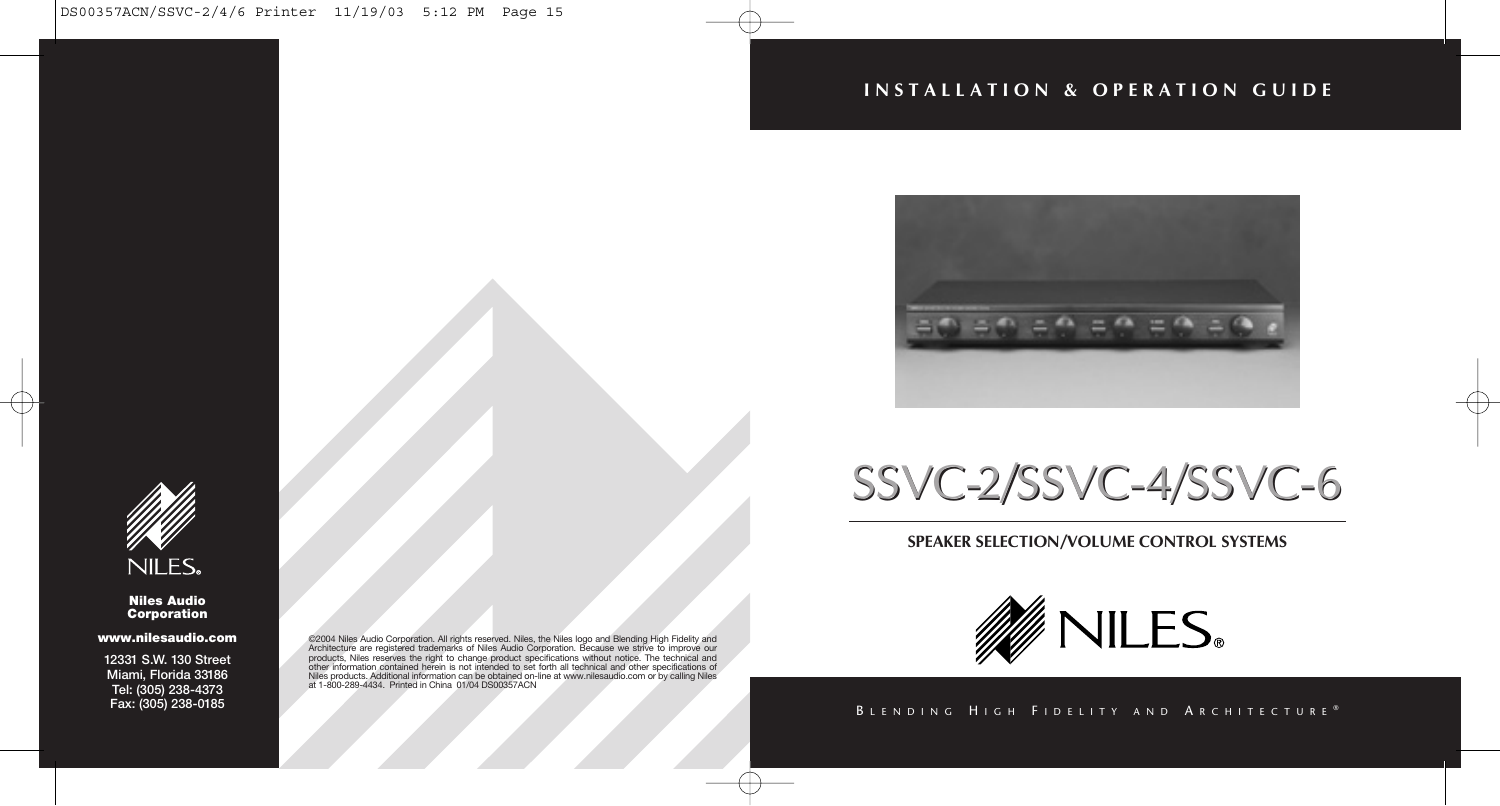# **INSTALLATION & OPERATION GUIDE**



# SSVC-2/SSVC-4/SSVC-6 SSVC-2/SSVC-4/SSVC-6

# **SPEAKER SELECTION/VOLUME CONTROL SYSTEMS**



## BLENDING HIGH FIDELITY AND ARCHITECTURE®



#### **Niles Audio Corporation**

#### **www.nilesaudio.com**

**12331 S.W. 130 Street Miami, Florida 33186 Tel: (305) 238-4373 Fax: (305) 238-0185**

@2004 Niles Audio Corporation. All rights reserved. Niles, the Niles logo and Blending High Fidelity and<br>Architecture are registered trademarks of Niles Audio Corporation. Because we strive to improve our<br>products, Niles r Niles products. Additional information can be obtained on-line at www.nilesaudio.com or by calling Niles at 1-800-289-4434. Printed in China 01/04 DS00357ACN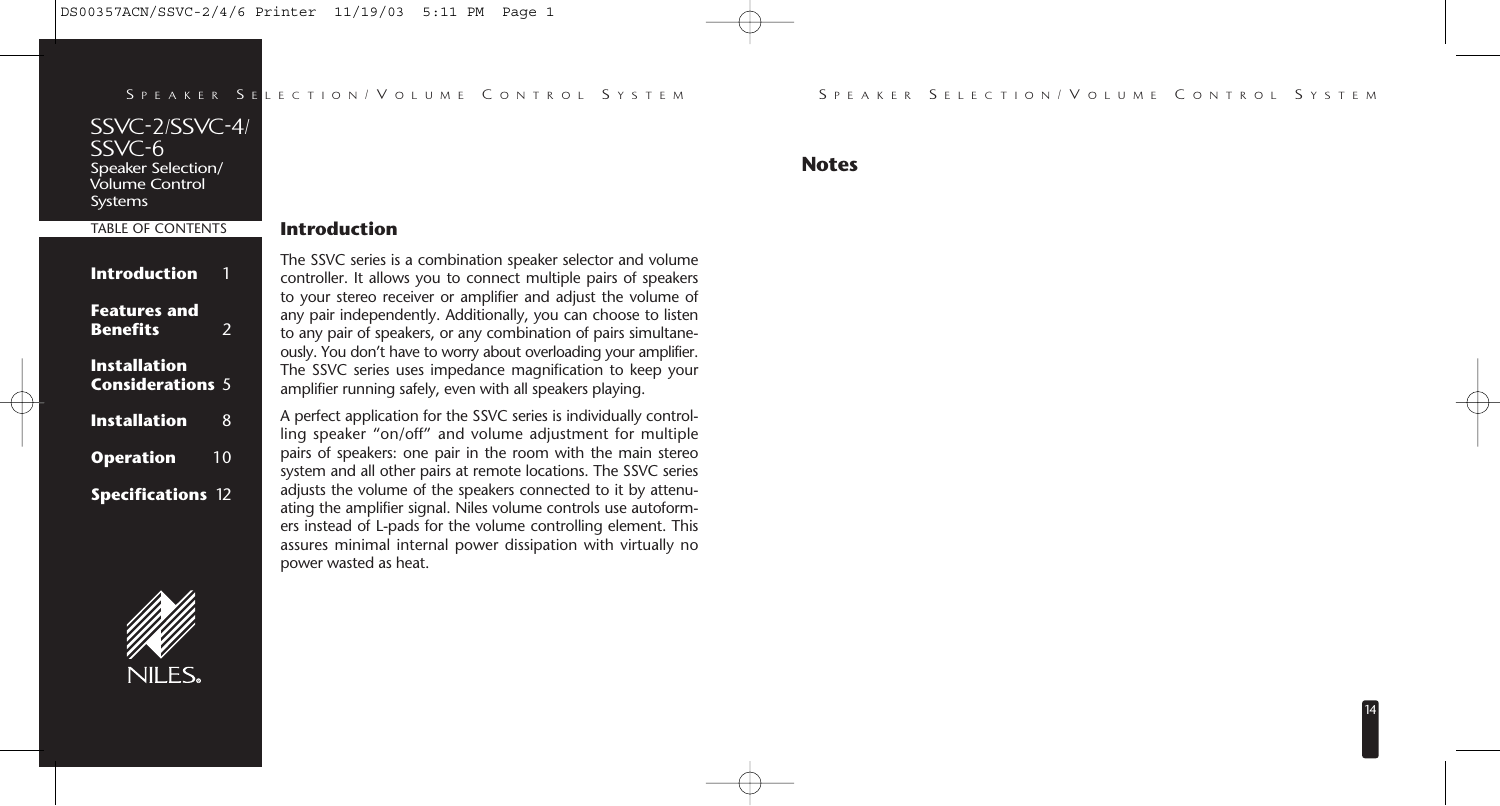#### S E LECTION / V OLUME C ONTROL S YSTEM

# **Introduction**

| SPEAKER SE                                                                         |    |
|------------------------------------------------------------------------------------|----|
| SSVC-2/SSVC-4/<br>$SSVC-6$<br>Speaker Selection/<br>.<br>Volume Control<br>Systems |    |
| <b>TABLE OF CONTENTS</b>                                                           |    |
| Introduction                                                                       |    |
| <b>Features and</b><br><b>Benefits</b>                                             | 2  |
| Installation<br><b>Considerations</b> 5                                            |    |
| Installation                                                                       | 8  |
| <b>Operation</b>                                                                   | 10 |
| <b>Specifications 12</b>                                                           |    |



The SSVC series is a combination speaker selector and volume

controller. It allows you to connect multiple pairs of speakers to your stereo receiver or amplifier and adjust the volume of any pair independently. Additionally, you can choose to listen to any pair of speakers, or any combination of pairs simultaneously. You don't have to worry about overloading your amplifier. The SSVC series uses impedance magnification to keep your amplifier running safely, even with all speakers playing.

A perfect application for the SSVC series is individually controlling speaker "on/off" and volume adjustment for multiple pairs of speakers: one pair in the room with the main stereo system and all other pairs at remote locations. The SSVC series adjusts the volume of the speakers connected to it by attenuating the amplifier signal. Niles volume controls use autoformers instead of L-pads for the volume controlling element. This assures minimal internal power dissipation with virtually no power wasted as heat. SEE A EXECUTION (VOLUME CONTROL SYSTEM SEE A CONTROL SYSTEM SEE A CONTROL SYSTEM SEE A CONTROL SYSTEM SEE AND CONTROL SEE A CONTROL SEE AND CONTROL SEE A CONTROL SEE AND CONTROL SEE A CONTROL SEE AND CONTROL SEE A CONTROL

**Notes**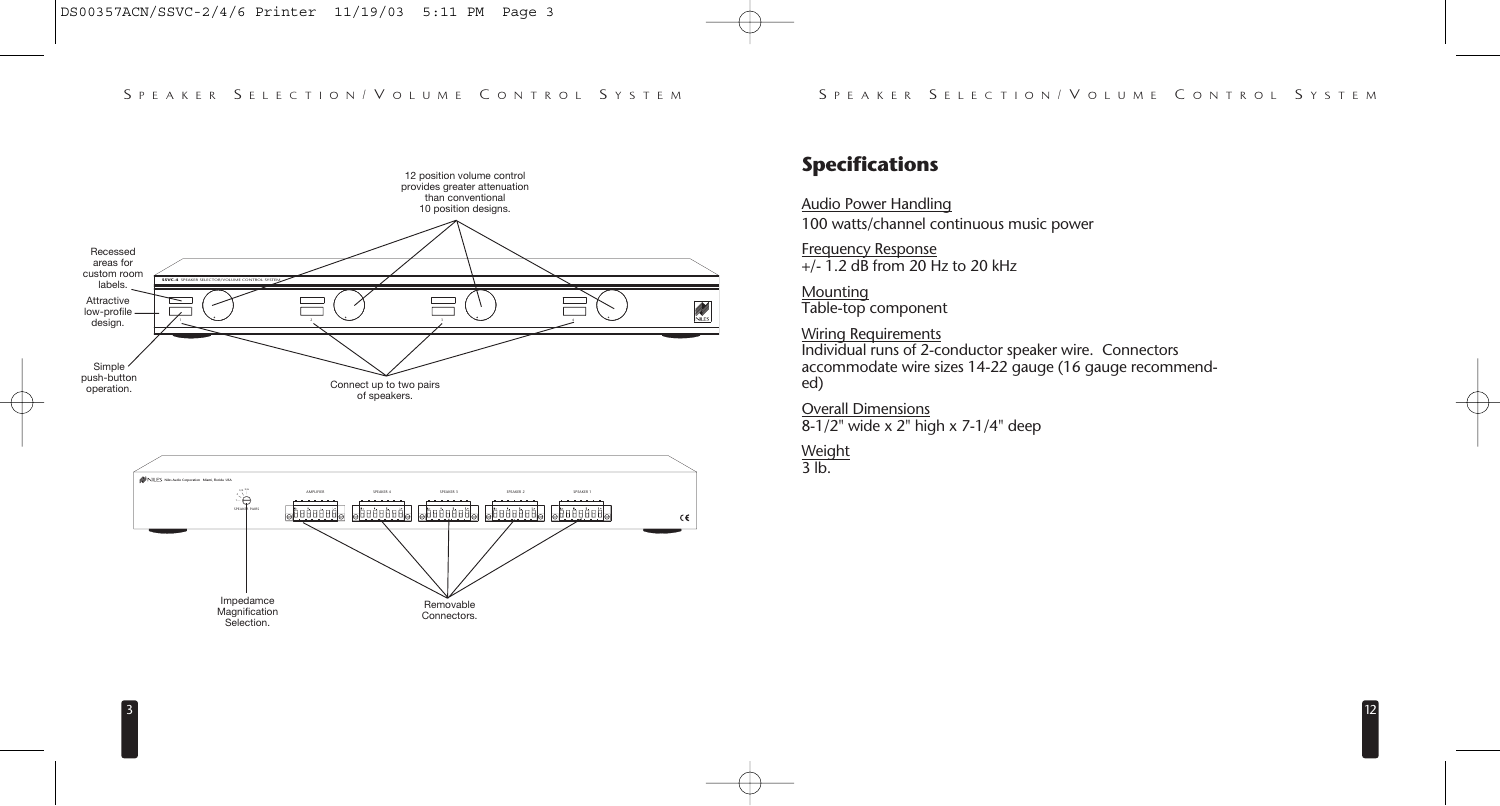$12$ 





# **Specifications**

Audio Power Handling 100 watts/channel continuous music power

Frequency Response  $+/-$  1.2 dB from 20 Hz to 20 kHz

**Mounting** Table-top component

Wiring Requirements Individual runs of 2-conductor speaker wire. Connectors accommodate wire sizes 14-22 gauge (16 gauge recommended)

Overall Dimensions 8-1/2" wide x 2" high x 7-1/4" deep

**Weight** 3 lb.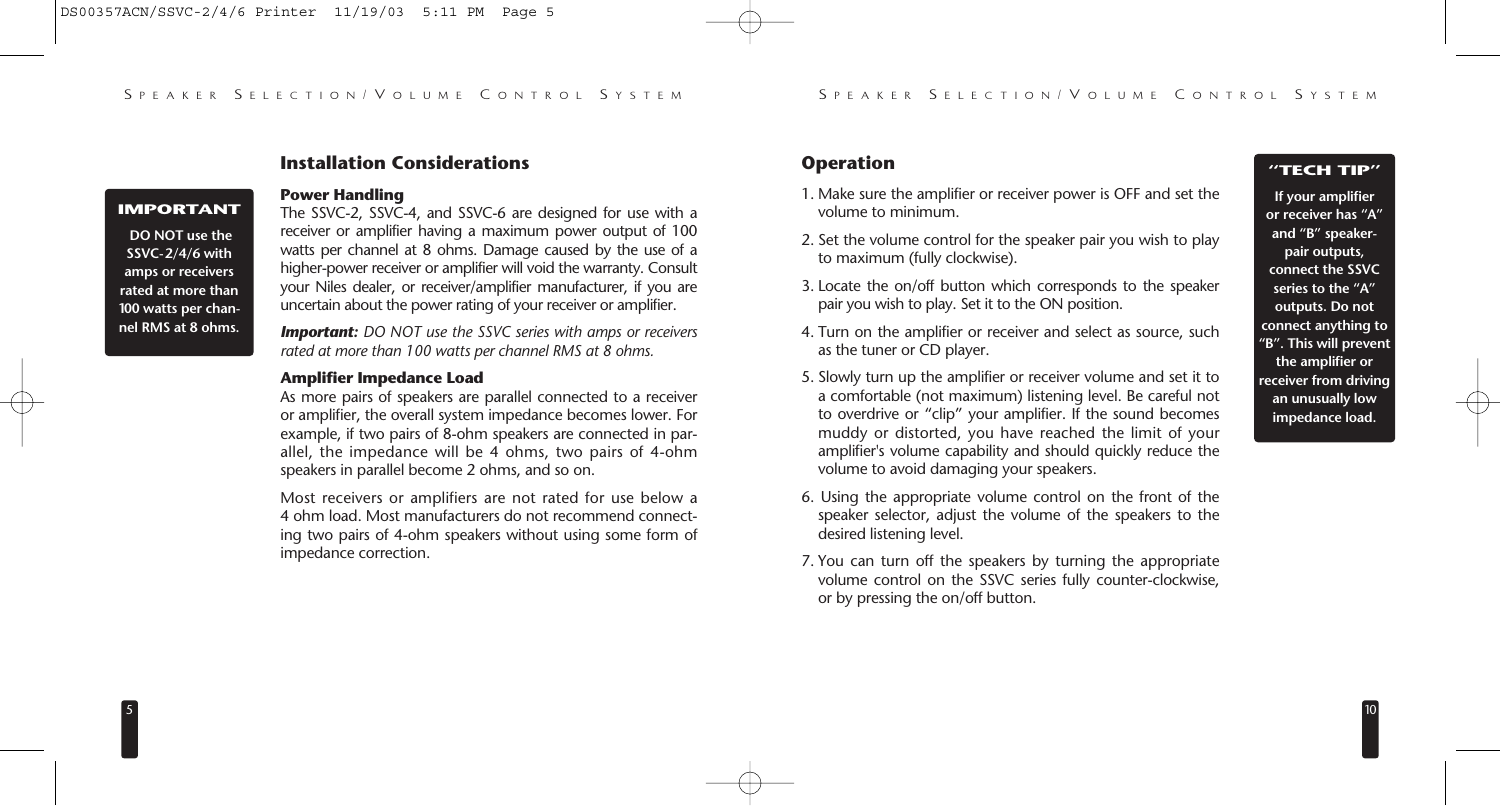# **Installation Considerations**

#### **IMPORTANT**

**DO NOT use the SSVC-2/4/6 with amps or receivers rated at more than 100 watts per channel RMS at 8 ohms.**

# **Power Handling**

The SSVC-2, SSVC-4, and SSVC-6 are designed for use with a receiver or amplifier having a maximum power output of 100 watts per channel at 8 ohms. Damage caused by the use of a higher-power receiver or amplifier will void the warranty. Consult your Niles dealer, or receiver/amplifier manufacturer, if you are uncertain about the power rating of your receiver or amplifier.

*Important: DO NOT use the SSVC series with amps or receivers rated at more than 100 watts per channel RMS at 8 ohms.*

#### **Amplifier Impedance Load**

As more pairs of speakers are parallel connected to a receiver or amplifier, the overall system impedance becomes lower. For example, if two pairs of 8-ohm speakers are connected in parallel, the impedance will be 4 ohms, two pairs of 4-ohm speakers in parallel become 2 ohms, and so on.

Most receivers or amplifiers are not rated for use below a 4 ohm load. Most manufacturers do not recommend connecting two pairs of 4-ohm speakers without using some form of impedance correction.

# **Operation**

- 1. Make sure the amplifier or receiver power is OFF and set the volume to minimum.
- 2. Set the volume control for the speaker pair you wish to play to maximum (fully clockwise).
- 3. Locate the on/off button which corresponds to the speaker pair you wish to play. Set it to the ON position.
- 4. Turn on the amplifier or receiver and select as source, such as the tuner or CD player.
- 5. Slowly turn up the amplifier or receiver volume and set it to a comfortable (not maximum) listening level. Be careful not to overdrive or "clip" your amplifier. If the sound becomes muddy or distorted, you have reached the limit of your amplifier's volume capability and should quickly reduce the volume to avoid damaging your speakers.
- 6. Using the appropriate volume control on the front of the speaker selector, adjust the volume of the speakers to the desired listening level.
- 7. You can turn off the speakers by turning the appropriate volume control on the SSVC series fully counter-clockwise, or by pressing the on/off button.

#### **"TECH TIP"**

**If your amplifier or receiver has "A" and "B" speakerpair outputs, connect the SSVC series to the "A" outputs. Do not connect anything to "B". This will prevent the amplifier or receiver from driving an unusually low impedance load.**

10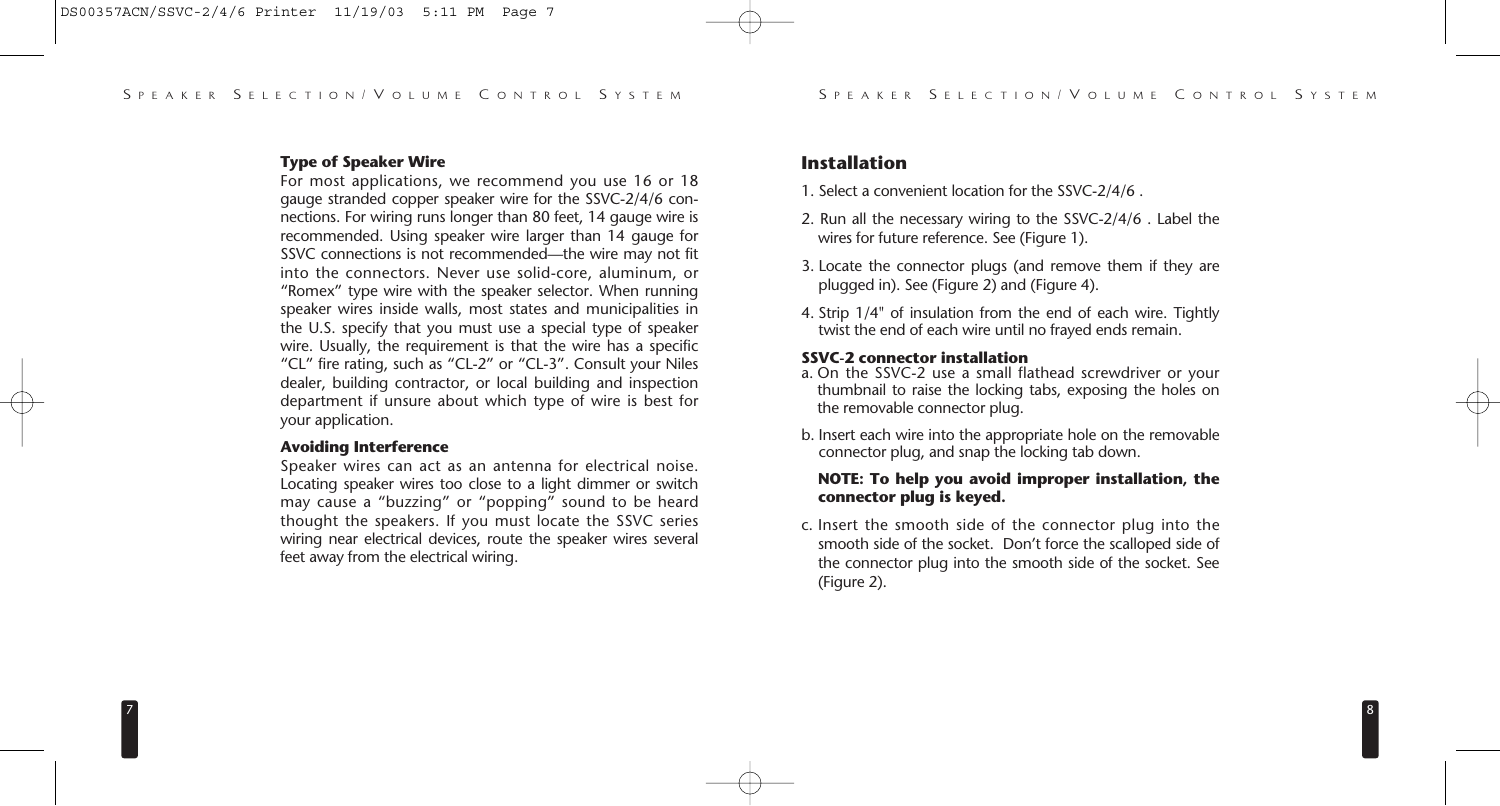# **Type of Speaker Wire**

For most applications, we recommend you use 16 or 18 gauge stranded copper speaker wire for the SSVC-2/4/6 connections. For wiring runs longer than 80 feet, 14 gauge wire is recommended. Using speaker wire larger than 14 gauge for SSVC connections is not recommended—the wire may not fit into the connectors. Never use solid-core, aluminum, or "Romex" type wire with the speaker selector. When running speaker wires inside walls, most states and municipalities in the U.S. specify that you must use a special type of speaker wire. Usually, the requirement is that the wire has a specific "CL" fire rating, such as "CL-2" or "CL-3". Consult your Niles dealer, building contractor, or local building and inspection department if unsure about which type of wire is best for your application.

#### **Avoiding Interference**

Speaker wires can act as an antenna for electrical noise. Locating speaker wires too close to a light dimmer or switch may cause a "buzzing" or "popping" sound to be heard thought the speakers. If you must locate the SSVC series wiring near electrical devices, route the speaker wires several feet away from the electrical wiring.

# **Installation**

- 1. Select a convenient location for the SSVC-2/4/6 .
- 2. Run all the necessary wiring to the SSVC-2/4/6 . Label the wires for future reference. See (Figure 1).
- 3. Locate the connector plugs (and remove them if they are plugged in). See (Figure 2) and (Figure 4).
- 4. Strip 1/4" of insulation from the end of each wire. Tightly twist the end of each wire until no frayed ends remain.

### **SSVC-2 connector installation**

- a. On the SSVC-2 use a small flathead screwdriver or your thumbnail to raise the locking tabs, exposing the holes on the removable connector plug.
- b. Insert each wire into the appropriate hole on the removable connector plug, and snap the locking tab down.

# **NOTE: To help you avoid improper installation, the connector plug is keyed.**

c. Insert the smooth side of the connector plug into the smooth side of the socket. Don't force the scalloped side of the connector plug into the smooth side of the socket. See (Figure 2).

8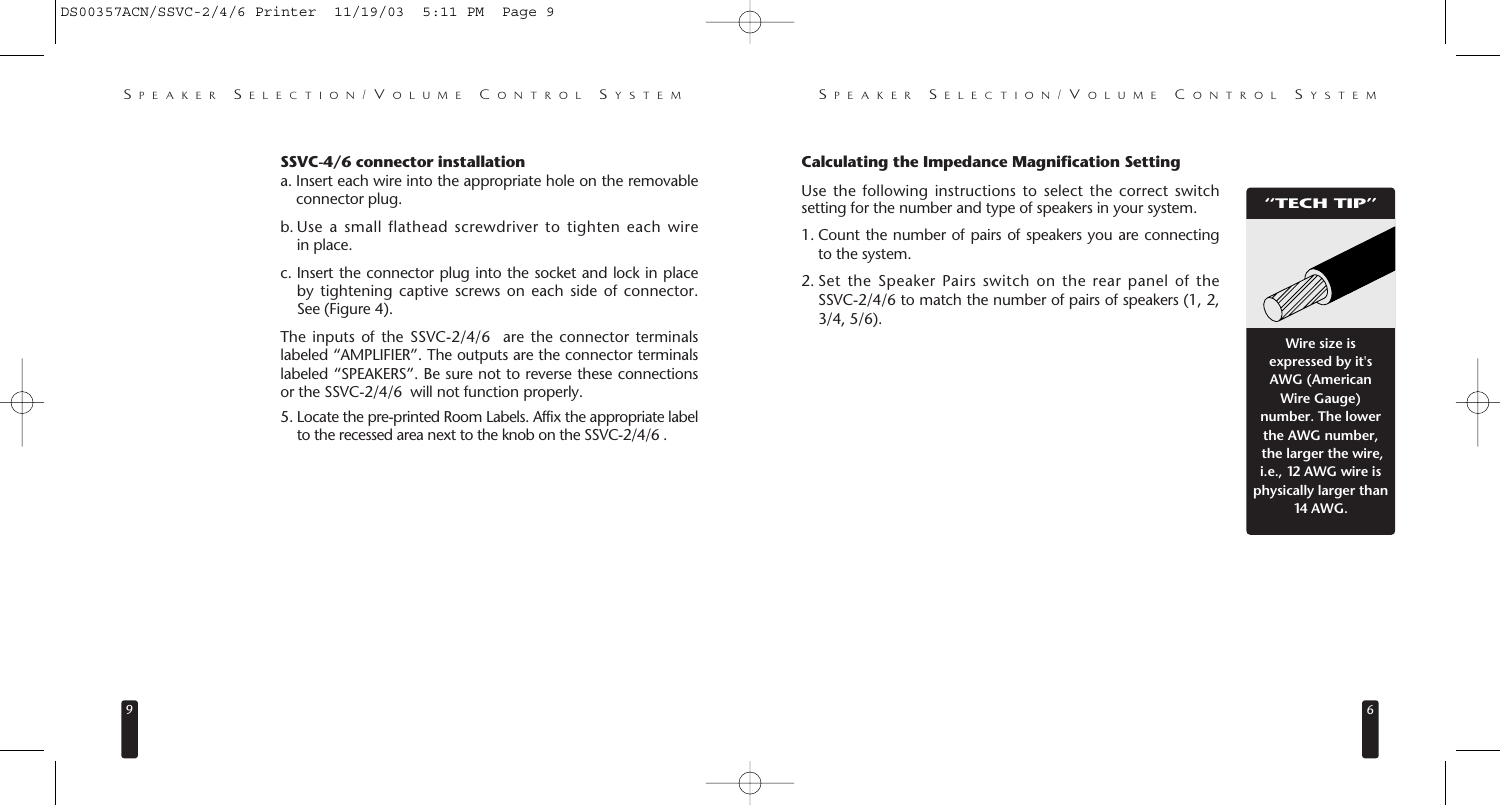#### **SSVC-4/6 connector installation**

- a. Insert each wire into the appropriate hole on the removable connector plug.
- b. Use a small flathead screwdriver to tighten each wire in place.
- c. Insert the connector plug into the socket and lock in place by tightening captive screws on each side of connector. See (Figure 4).

The inputs of the SSVC-2/4/6 are the connector terminals labeled "AMPLIFIER". The outputs are the connector terminals labeled "SPEAKERS". Be sure not to reverse these connections or the SSVC-2/4/6 will not function properly.

5. Locate the pre-printed Room Labels. Affix the appropriate label to the recessed area next to the knob on the SSVC-2/4/6 .

# **Calculating the Impedance Magnification Setting**

Use the following instructions to select the correct switch setting for the number and type of speakers in your system.

# **"TECH TIP"**

- 1. Count the number of pairs of speakers you are connecting to the system.
- 2. Set the Speaker Pairs switch on the rear panel of the SSVC-2/4/6 to match the number of pairs of speakers (1, 2, 3/4, 5/6).

**Wire size is expressed by it's AWG (American Wire Gauge) number. The lower the AWG number, the larger the wire, i.e., 12 AWG wire is physically larger than 14 AWG.**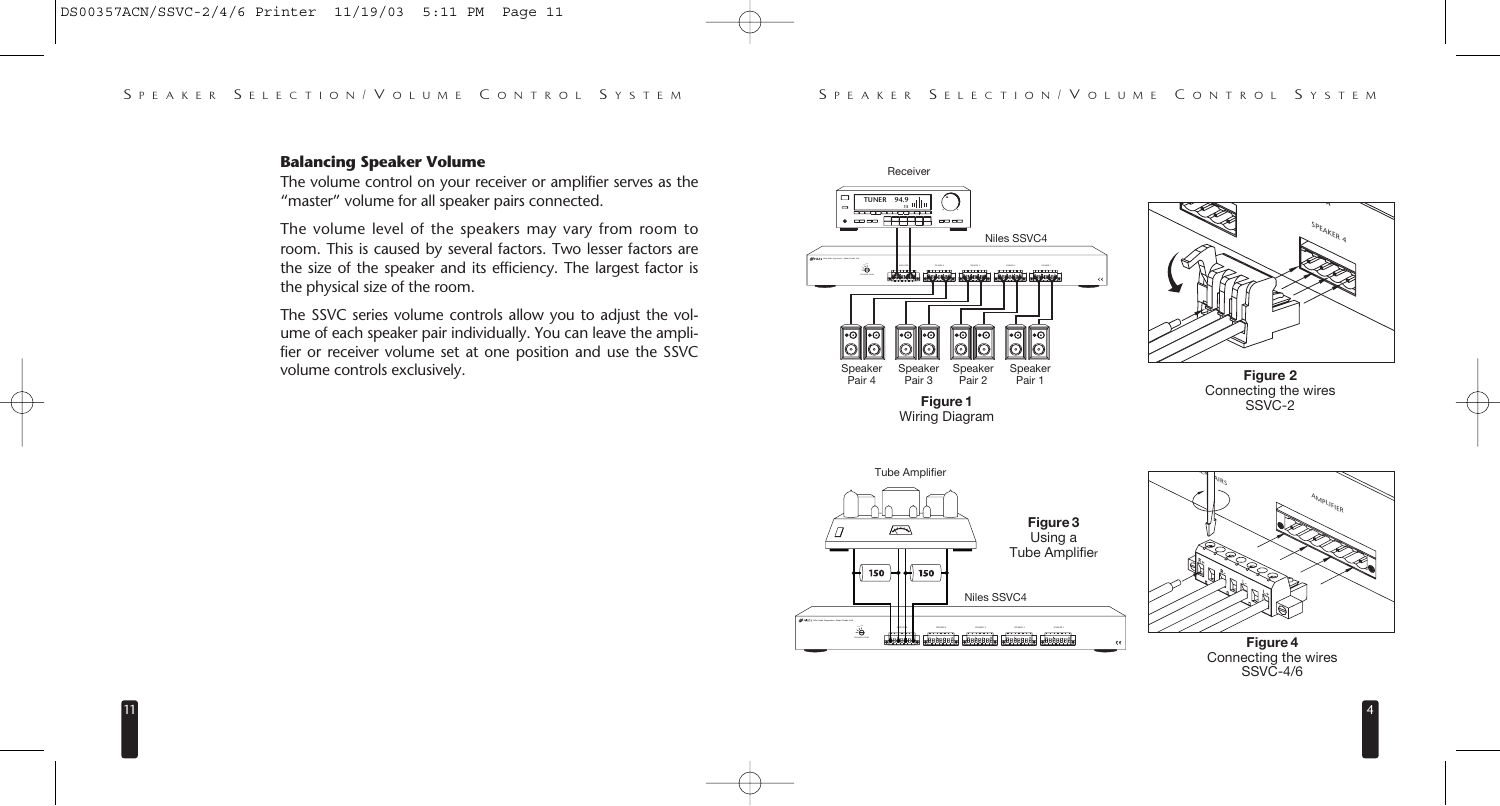#### **Balancing Speaker Volume**

11

The volume control on your receiver or amplifier serves as the "master" volume for all speaker pairs connected.

The volume level of the speakers may vary from room to room. This is caused by several factors. Two lesser factors are the size of the speaker and its efficiency. The largest factor is the physical size of the room.

The SSVC series volume controls allow you to adjust the volume of each speaker pair individually. You can leave the amplifier or receiver volume set at one position and use the SSVC volume controls exclusively.



A<sub>MPLIFIER</sub>

SPEAKER<sub>4</sub> **USA**